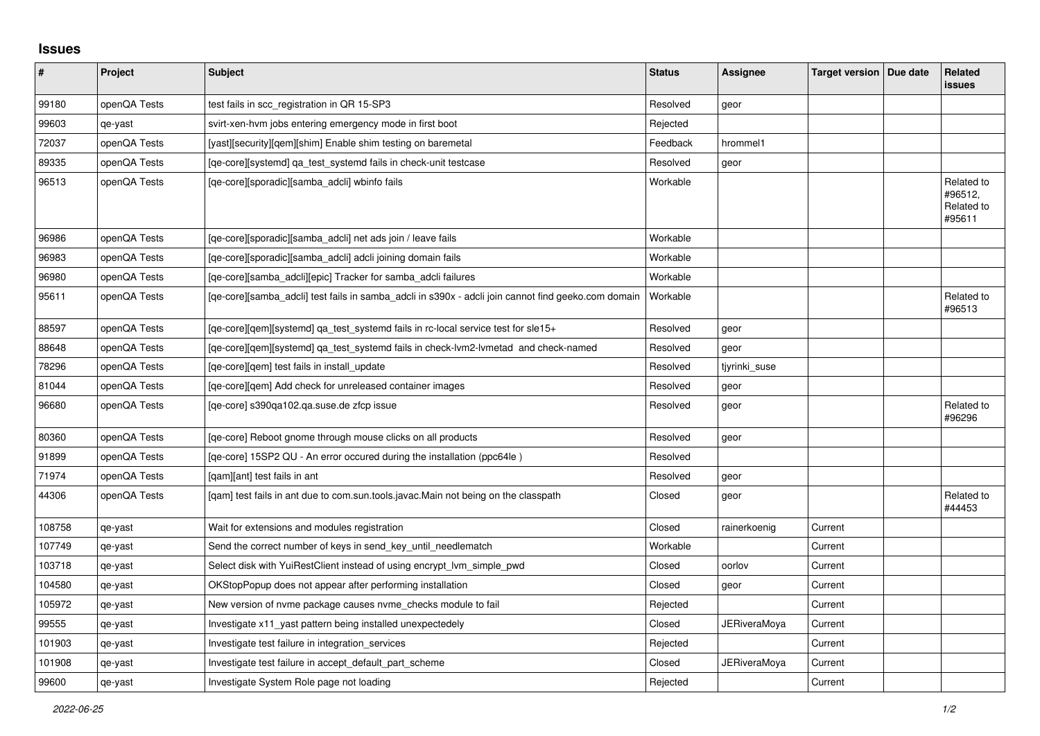## **Issues**

| $\vert$ # | Project      | <b>Subject</b>                                                                                      | <b>Status</b> | Assignee            | <b>Target version</b> | Due date | <b>Related</b><br><b>issues</b>               |
|-----------|--------------|-----------------------------------------------------------------------------------------------------|---------------|---------------------|-----------------------|----------|-----------------------------------------------|
| 99180     | openQA Tests | test fails in scc_registration in QR 15-SP3                                                         | Resolved      | geor                |                       |          |                                               |
| 99603     | qe-yast      | svirt-xen-hvm jobs entering emergency mode in first boot                                            | Rejected      |                     |                       |          |                                               |
| 72037     | openQA Tests | [yast][security][qem][shim] Enable shim testing on baremetal                                        | Feedback      | hrommel1            |                       |          |                                               |
| 89335     | openQA Tests | [ge-core][systemd] ga test systemd fails in check-unit testcase                                     | Resolved      | geor                |                       |          |                                               |
| 96513     | openQA Tests | [ge-core][sporadic][samba adcli] wbinfo fails                                                       | Workable      |                     |                       |          | Related to<br>#96512.<br>Related to<br>#95611 |
| 96986     | openQA Tests | [qe-core][sporadic][samba_adcli] net ads join / leave fails                                         | Workable      |                     |                       |          |                                               |
| 96983     | openQA Tests | [qe-core][sporadic][samba_adcli] adcli joining domain fails                                         | Workable      |                     |                       |          |                                               |
| 96980     | openQA Tests | [ge-core][samba adcli][epic] Tracker for samba adcli failures                                       | Workable      |                     |                       |          |                                               |
| 95611     | openQA Tests | [qe-core][samba_adcli] test fails in samba_adcli in s390x - adcli join cannot find geeko.com domain | Workable      |                     |                       |          | Related to<br>#96513                          |
| 88597     | openQA Tests | [qe-core][qem][systemd] qa_test_systemd fails in rc-local service test for sle15+                   | Resolved      | geor                |                       |          |                                               |
| 88648     | openQA Tests | [qe-core][qem][systemd] qa_test_systemd fails in check-lvm2-lvmetad and check-named                 | Resolved      | geor                |                       |          |                                               |
| 78296     | openQA Tests | [qe-core][qem] test fails in install_update                                                         | Resolved      | tiyrinki suse       |                       |          |                                               |
| 81044     | openQA Tests | [ge-core][gem] Add check for unreleased container images                                            | Resolved      | geor                |                       |          |                                               |
| 96680     | openQA Tests | [qe-core] s390qa102.qa.suse.de zfcp issue                                                           | Resolved      | geor                |                       |          | Related to<br>#96296                          |
| 80360     | openQA Tests | [ge-core] Reboot gnome through mouse clicks on all products                                         | Resolved      | geor                |                       |          |                                               |
| 91899     | openQA Tests | [qe-core] 15SP2 QU - An error occured during the installation (ppc64le)                             | Resolved      |                     |                       |          |                                               |
| 71974     | openQA Tests | [gam][ant] test fails in ant                                                                        | Resolved      | geor                |                       |          |                                               |
| 44306     | openQA Tests | [qam] test fails in ant due to com.sun.tools.javac.Main not being on the classpath                  | Closed        | geor                |                       |          | Related to<br>#44453                          |
| 108758    | qe-yast      | Wait for extensions and modules registration                                                        | Closed        | rainerkoenig        | Current               |          |                                               |
| 107749    | qe-yast      | Send the correct number of keys in send_key_until_needlematch                                       | Workable      |                     | Current               |          |                                               |
| 103718    | qe-yast      | Select disk with YuiRestClient instead of using encrypt Ivm simple pwd                              | Closed        | oorlov              | Current               |          |                                               |
| 104580    | qe-yast      | OKStopPopup does not appear after performing installation                                           | Closed        | geor                | Current               |          |                                               |
| 105972    | qe-yast      | New version of nyme package causes nyme checks module to fail                                       | Rejected      |                     | Current               |          |                                               |
| 99555     | qe-yast      | Investigate x11_yast pattern being installed unexpectedely                                          | Closed        | <b>JERiveraMoya</b> | Current               |          |                                               |
| 101903    | qe-yast      | Investigate test failure in integration_services                                                    | Rejected      |                     | Current               |          |                                               |
| 101908    | qe-yast      | Investigate test failure in accept default part scheme                                              | Closed        | <b>JERiveraMoya</b> | Current               |          |                                               |
| 99600     | qe-yast      | Investigate System Role page not loading                                                            | Rejected      |                     | Current               |          |                                               |